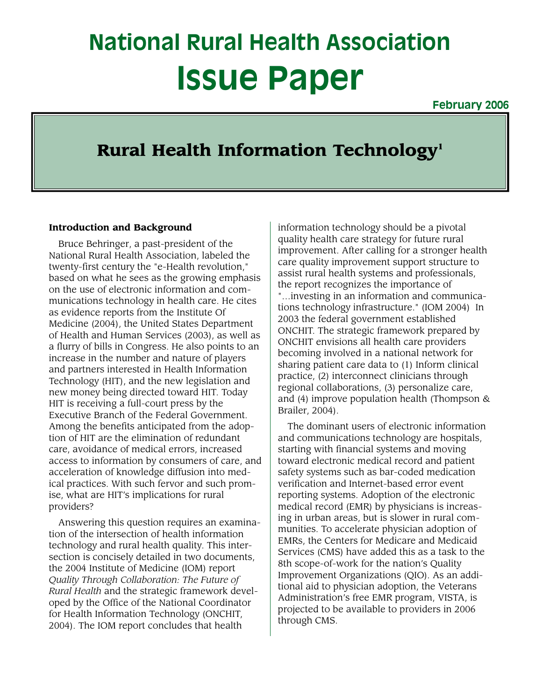# **National Rural Health Association Issue Paper**

**February 2006**

## Rural Health Information Technology<sup>1</sup>

#### **Introduction and Background**

Bruce Behringer, a past-president of the National Rural Health Association, labeled the twenty-first century the "e-Health revolution," based on what he sees as the growing emphasis on the use of electronic information and communications technology in health care. He cites as evidence reports from the Institute Of Medicine (2004), the United States Department of Health and Human Services (2003), as well as a flurry of bills in Congress. He also points to an increase in the number and nature of players and partners interested in Health Information Technology (HIT), and the new legislation and new money being directed toward HIT. Today HIT is receiving a full-court press by the Executive Branch of the Federal Government. Among the benefits anticipated from the adoption of HIT are the elimination of redundant care, avoidance of medical errors, increased access to information by consumers of care, and acceleration of knowledge diffusion into medical practices. With such fervor and such promise, what are HIT's implications for rural providers?

Answering this question requires an examination of the intersection of health information technology and rural health quality. This intersection is concisely detailed in two documents, the 2004 Institute of Medicine (IOM) report *Quality Through Collaboration: The Future of Rural Health* and the strategic framework developed by the Office of the National Coordinator for Health Information Technology (ONCHIT, 2004). The IOM report concludes that health

information technology should be a pivotal quality health care strategy for future rural improvement. After calling for a stronger health care quality improvement support structure to assist rural health systems and professionals, the report recognizes the importance of "…investing in an information and communications technology infrastructure." (IOM 2004) In 2003 the federal government established ONCHIT. The strategic framework prepared by ONCHIT envisions all health care providers becoming involved in a national network for sharing patient care data to (1) Inform clinical practice, (2) interconnect clinicians through regional collaborations, (3) personalize care, and (4) improve population health (Thompson & Brailer, 2004).

The dominant users of electronic information and communications technology are hospitals, starting with financial systems and moving toward electronic medical record and patient safety systems such as bar-coded medication verification and Internet-based error event reporting systems. Adoption of the electronic medical record (EMR) by physicians is increasing in urban areas, but is slower in rural communities. To accelerate physician adoption of EMRs, the Centers for Medicare and Medicaid Services (CMS) have added this as a task to the 8th scope-of-work for the nation's Quality Improvement Organizations (QIO). As an additional aid to physician adoption, the Veterans Administration's free EMR program, VISTA, is projected to be available to providers in 2006 through CMS.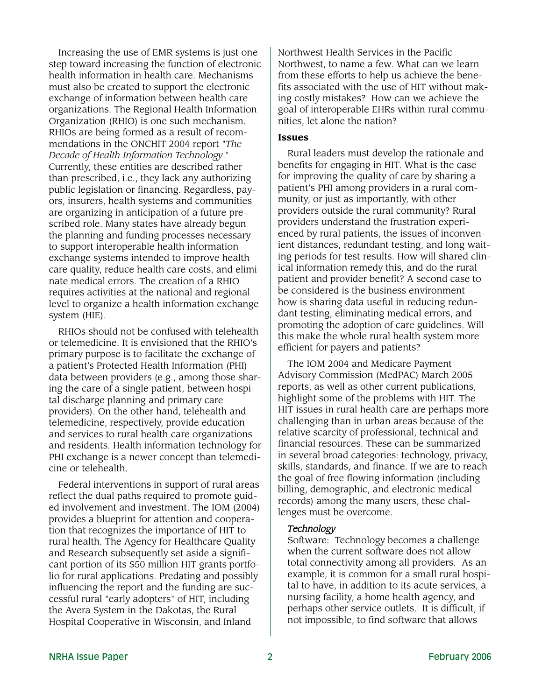Increasing the use of EMR systems is just one step toward increasing the function of electronic health information in health care. Mechanisms must also be created to support the electronic exchange of information between health care organizations. The Regional Health Information Organization (RHIO) is one such mechanism. RHIOs are being formed as a result of recommendations in the ONCHIT 2004 report "*The Decade of Health Information Technology*." Currently, these entities are described rather than prescribed, i.e., they lack any authorizing public legislation or financing. Regardless, payors, insurers, health systems and communities are organizing in anticipation of a future prescribed role. Many states have already begun the planning and funding processes necessary to support interoperable health information exchange systems intended to improve health care quality, reduce health care costs, and eliminate medical errors. The creation of a RHIO requires activities at the national and regional level to organize a health information exchange system (HIE).

RHIOs should not be confused with telehealth or telemedicine. It is envisioned that the RHIO's primary purpose is to facilitate the exchange of a patient's Protected Health Information (PHI) data between providers (e.g., among those sharing the care of a single patient, between hospital discharge planning and primary care providers). On the other hand, telehealth and telemedicine, respectively, provide education and services to rural health care organizations and residents. Health information technology for PHI exchange is a newer concept than telemedicine or telehealth.

Federal interventions in support of rural areas reflect the dual paths required to promote guided involvement and investment. The IOM (2004) provides a blueprint for attention and cooperation that recognizes the importance of HIT to rural health. The Agency for Healthcare Quality and Research subsequently set aside a significant portion of its \$50 million HIT grants portfolio for rural applications. Predating and possibly influencing the report and the funding are successful rural "early adopters" of HIT, including the Avera System in the Dakotas, the Rural Hospital Cooperative in Wisconsin, and Inland

Northwest Health Services in the Pacific Northwest, to name a few. What can we learn from these efforts to help us achieve the benefits associated with the use of HIT without making costly mistakes? How can we achieve the goal of interoperable EHRs within rural communities, let alone the nation?

#### **Issues**

Rural leaders must develop the rationale and benefits for engaging in HIT. What is the case for improving the quality of care by sharing a patient's PHI among providers in a rural community, or just as importantly, with other providers outside the rural community? Rural providers understand the frustration experienced by rural patients, the issues of inconvenient distances, redundant testing, and long waiting periods for test results. How will shared clinical information remedy this, and do the rural patient and provider benefit? A second case to be considered is the business environment – how is sharing data useful in reducing redundant testing, eliminating medical errors, and promoting the adoption of care guidelines. Will this make the whole rural health system more efficient for payers and patients?

The IOM 2004 and Medicare Payment Advisory Commission (MedPAC) March 2005 reports, as well as other current publications, highlight some of the problems with HIT. The HIT issues in rural health care are perhaps more challenging than in urban areas because of the relative scarcity of professional, technical and financial resources. These can be summarized in several broad categories: technology, privacy, skills, standards, and finance. If we are to reach the goal of free flowing information (including billing, demographic, and electronic medical records) among the many users, these challenges must be overcome.

#### *Technology*

Software: Technology becomes a challenge when the current software does not allow total connectivity among all providers. As an example, it is common for a small rural hospital to have, in addition to its acute services, a nursing facility, a home health agency, and perhaps other service outlets. It is difficult, if not impossible, to find software that allows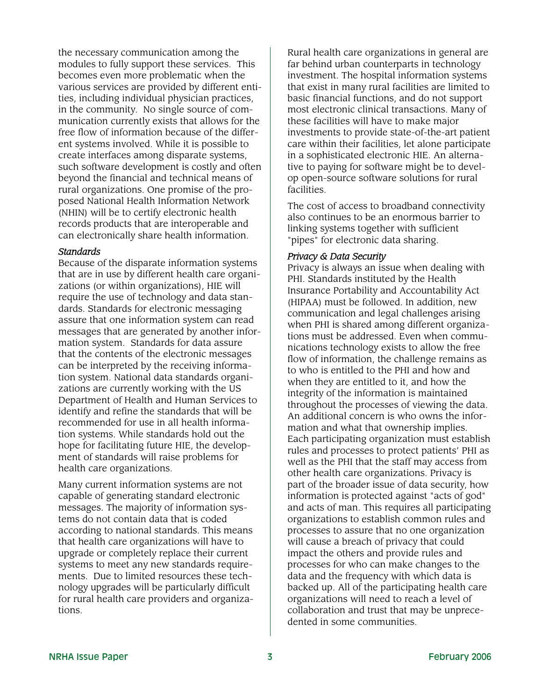the necessary communication among the modules to fully support these services. This becomes even more problematic when the various services are provided by different entities, including individual physician practices, in the community. No single source of communication currently exists that allows for the free flow of information because of the different systems involved. While it is possible to create interfaces among disparate systems, such software development is costly and often beyond the financial and technical means of rural organizations. One promise of the proposed National Health Information Network (NHIN) will be to certify electronic health records products that are interoperable and can electronically share health information.

#### *Standards*

Because of the disparate information systems that are in use by different health care organizations (or within organizations), HIE will require the use of technology and data standards. Standards for electronic messaging assure that one information system can read messages that are generated by another information system. Standards for data assure that the contents of the electronic messages can be interpreted by the receiving information system. National data standards organizations are currently working with the US Department of Health and Human Services to identify and refine the standards that will be recommended for use in all health information systems. While standards hold out the hope for facilitating future HIE, the development of standards will raise problems for health care organizations.

Many current information systems are not capable of generating standard electronic messages. The majority of information systems do not contain data that is coded according to national standards. This means that health care organizations will have to upgrade or completely replace their current systems to meet any new standards requirements. Due to limited resources these technology upgrades will be particularly difficult for rural health care providers and organizations.

Rural health care organizations in general are far behind urban counterparts in technology investment. The hospital information systems that exist in many rural facilities are limited to basic financial functions, and do not support most electronic clinical transactions. Many of these facilities will have to make major investments to provide state-of-the-art patient care within their facilities, let alone participate in a sophisticated electronic HIE. An alternative to paying for software might be to develop open-source software solutions for rural facilities.

The cost of access to broadband connectivity also continues to be an enormous barrier to linking systems together with sufficient "pipes" for electronic data sharing.

#### *Privacy & Data Security*

Privacy is always an issue when dealing with PHI. Standards instituted by the Health Insurance Portability and Accountability Act (HIPAA) must be followed. In addition, new communication and legal challenges arising when PHI is shared among different organizations must be addressed. Even when communications technology exists to allow the free flow of information, the challenge remains as to who is entitled to the PHI and how and when they are entitled to it, and how the integrity of the information is maintained throughout the processes of viewing the data. An additional concern is who owns the information and what that ownership implies. Each participating organization must establish rules and processes to protect patients' PHI as well as the PHI that the staff may access from other health care organizations. Privacy is part of the broader issue of data security, how information is protected against "acts of god" and acts of man. This requires all participating organizations to establish common rules and processes to assure that no one organization will cause a breach of privacy that could impact the others and provide rules and processes for who can make changes to the data and the frequency with which data is backed up. All of the participating health care organizations will need to reach a level of collaboration and trust that may be unprecedented in some communities.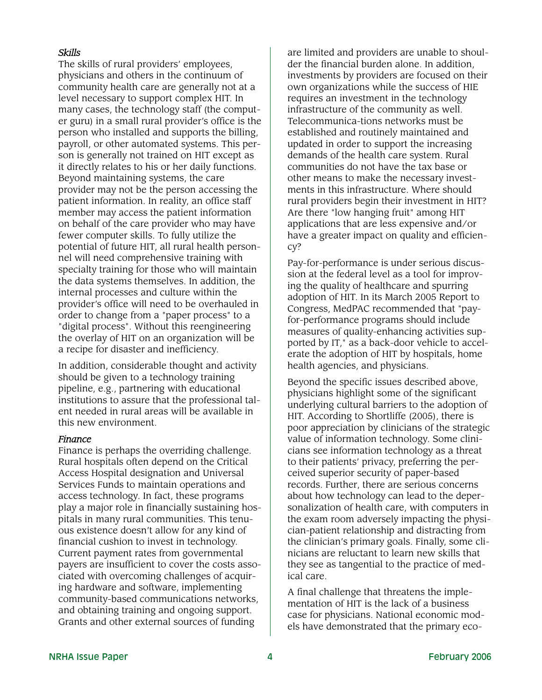#### *Skills*

The skills of rural providers' employees, physicians and others in the continuum of community health care are generally not at a level necessary to support complex HIT. In many cases, the technology staff (the computer guru) in a small rural provider's office is the person who installed and supports the billing, payroll, or other automated systems. This person is generally not trained on HIT except as it directly relates to his or her daily functions. Beyond maintaining systems, the care provider may not be the person accessing the patient information. In reality, an office staff member may access the patient information on behalf of the care provider who may have fewer computer skills. To fully utilize the potential of future HIT, all rural health personnel will need comprehensive training with specialty training for those who will maintain the data systems themselves. In addition, the internal processes and culture within the provider's office will need to be overhauled in order to change from a "paper process" to a "digital process". Without this reengineering the overlay of HIT on an organization will be a recipe for disaster and inefficiency.

In addition, considerable thought and activity should be given to a technology training pipeline, e.g., partnering with educational institutions to assure that the professional talent needed in rural areas will be available in this new environment.

#### *Finance*

Finance is perhaps the overriding challenge. Rural hospitals often depend on the Critical Access Hospital designation and Universal Services Funds to maintain operations and access technology. In fact, these programs play a major role in financially sustaining hospitals in many rural communities. This tenuous existence doesn't allow for any kind of financial cushion to invest in technology. Current payment rates from governmental payers are insufficient to cover the costs associated with overcoming challenges of acquiring hardware and software, implementing community-based communications networks, and obtaining training and ongoing support. Grants and other external sources of funding

are limited and providers are unable to shoulder the financial burden alone. In addition, investments by providers are focused on their own organizations while the success of HIE requires an investment in the technology infrastructure of the community as well. Telecommunica-tions networks must be established and routinely maintained and updated in order to support the increasing demands of the health care system. Rural communities do not have the tax base or other means to make the necessary investments in this infrastructure. Where should rural providers begin their investment in HIT? Are there "low hanging fruit" among HIT applications that are less expensive and/or have a greater impact on quality and efficiency?

Pay-for-performance is under serious discussion at the federal level as a tool for improving the quality of healthcare and spurring adoption of HIT. In its March 2005 Report to Congress, MedPAC recommended that "payfor-performance programs should include measures of quality-enhancing activities supported by IT," as a back-door vehicle to accelerate the adoption of HIT by hospitals, home health agencies, and physicians.

Beyond the specific issues described above, physicians highlight some of the significant underlying cultural barriers to the adoption of HIT. According to Shortliffe (2005), there is poor appreciation by clinicians of the strategic value of information technology. Some clinicians see information technology as a threat to their patients' privacy, preferring the perceived superior security of paper-based records. Further, there are serious concerns about how technology can lead to the depersonalization of health care, with computers in the exam room adversely impacting the physician-patient relationship and distracting from the clinician's primary goals. Finally, some clinicians are reluctant to learn new skills that they see as tangential to the practice of medical care.

A final challenge that threatens the implementation of HIT is the lack of a business case for physicians. National economic models have demonstrated that the primary eco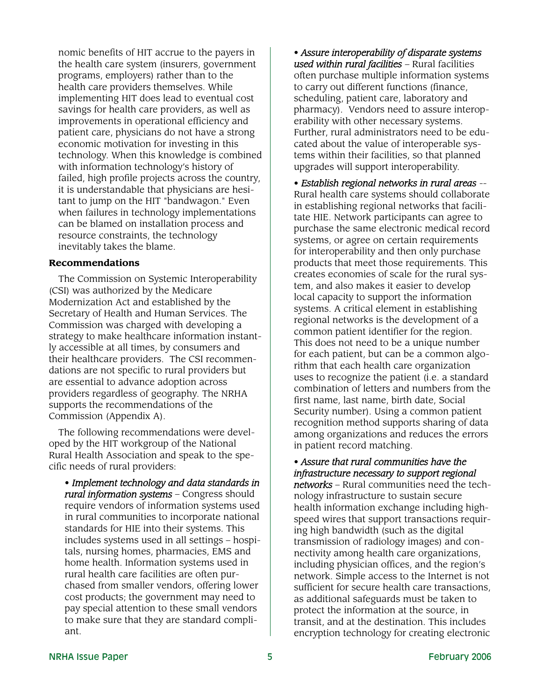nomic benefits of HIT accrue to the payers in the health care system (insurers, government programs, employers) rather than to the health care providers themselves. While implementing HIT does lead to eventual cost savings for health care providers, as well as improvements in operational efficiency and patient care, physicians do not have a strong economic motivation for investing in this technology. When this knowledge is combined with information technology's history of failed, high profile projects across the country, it is understandable that physicians are hesitant to jump on the HIT "bandwagon." Even when failures in technology implementations can be blamed on installation process and resource constraints, the technology inevitably takes the blame.

#### **Recommendations**

The Commission on Systemic Interoperability (CSI) was authorized by the Medicare Modernization Act and established by the Secretary of Health and Human Services. The Commission was charged with developing a strategy to make healthcare information instantly accessible at all times, by consumers and their healthcare providers. The CSI recommendations are not specific to rural providers but are essential to advance adoption across providers regardless of geography. The NRHA supports the recommendations of the Commission (Appendix A).

The following recommendations were developed by the HIT workgroup of the National Rural Health Association and speak to the specific needs of rural providers:

• *Implement technology and data standards in rural information systems* – Congress should require vendors of information systems used in rural communities to incorporate national standards for HIE into their systems. This includes systems used in all settings – hospitals, nursing homes, pharmacies, EMS and home health. Information systems used in rural health care facilities are often purchased from smaller vendors, offering lower cost products; the government may need to pay special attention to these small vendors to make sure that they are standard compliant.

• *Assure interoperability of disparate systems used within rural facilities* – Rural facilities often purchase multiple information systems to carry out different functions (finance, scheduling, patient care, laboratory and pharmacy). Vendors need to assure interoperability with other necessary systems. Further, rural administrators need to be educated about the value of interoperable systems within their facilities, so that planned upgrades will support interoperability.

• *Establish regional networks in rural areas* -- Rural health care systems should collaborate in establishing regional networks that facilitate HIE. Network participants can agree to purchase the same electronic medical record systems, or agree on certain requirements for interoperability and then only purchase products that meet those requirements. This creates economies of scale for the rural system, and also makes it easier to develop local capacity to support the information systems. A critical element in establishing regional networks is the development of a common patient identifier for the region. This does not need to be a unique number for each patient, but can be a common algorithm that each health care organization uses to recognize the patient (i.e. a standard combination of letters and numbers from the first name, last name, birth date, Social Security number). Using a common patient recognition method supports sharing of data among organizations and reduces the errors in patient record matching.

#### • *Assure that rural communities have the infrastructure necessary to support regional*

*networks* – Rural communities need the technology infrastructure to sustain secure health information exchange including highspeed wires that support transactions requiring high bandwidth (such as the digital transmission of radiology images) and connectivity among health care organizations, including physician offices, and the region's network. Simple access to the Internet is not sufficient for secure health care transactions, as additional safeguards must be taken to protect the information at the source, in transit, and at the destination. This includes encryption technology for creating electronic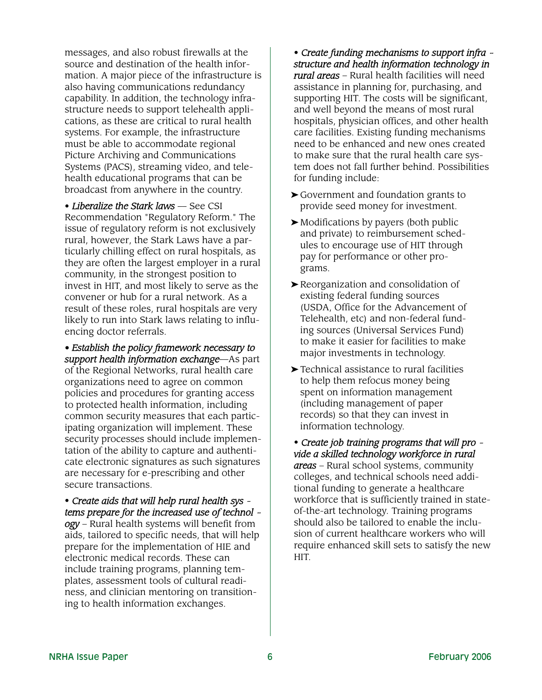messages, and also robust firewalls at the source and destination of the health information. A major piece of the infrastructure is also having communications redundancy capability. In addition, the technology infrastructure needs to support telehealth applications, as these are critical to rural health systems. For example, the infrastructure must be able to accommodate regional Picture Archiving and Communications Systems (PACS), streaming video, and telehealth educational programs that can be broadcast from anywhere in the country.

• *Liberalize the Stark laws* — See CSI Recommendation "Regulatory Reform." The issue of regulatory reform is not exclusively rural, however, the Stark Laws have a particularly chilling effect on rural hospitals, as they are often the largest employer in a rural community, in the strongest position to invest in HIT, and most likely to serve as the convener or hub for a rural network. As a result of these roles, rural hospitals are very likely to run into Stark laws relating to influencing doctor referrals.

*• Establish the policy framework necessary to support health information exchange*—As part of the Regional Networks, rural health care organizations need to agree on common policies and procedures for granting access to protected health information, including common security measures that each participating organization will implement. These security processes should include implementation of the ability to capture and authenticate electronic signatures as such signatures are necessary for e-prescribing and other secure transactions.

• *Create aids that will help rural health sys tems prepare for the increased use of technol ogy* – Rural health systems will benefit from aids, tailored to specific needs, that will help prepare for the implementation of HIE and electronic medical records. These can include training programs, planning templates, assessment tools of cultural readiness, and clinician mentoring on transitioning to health information exchanges.

• *Create funding mechanisms to support infra structure and health information technology in rural areas* – Rural health facilities will need assistance in planning for, purchasing, and supporting HIT. The costs will be significant, and well beyond the means of most rural hospitals, physician offices, and other health care facilities. Existing funding mechanisms need to be enhanced and new ones created to make sure that the rural health care system does not fall further behind. Possibilities for funding include:

- ➤ Government and foundation grants to provide seed money for investment.
- ➤ Modifications by payers (both public and private) to reimbursement schedules to encourage use of HIT through pay for performance or other programs.
- ➤ Reorganization and consolidation of existing federal funding sources (USDA, Office for the Advancement of Telehealth, etc) and non-federal funding sources (Universal Services Fund) to make it easier for facilities to make major investments in technology.
- ➤ Technical assistance to rural facilities to help them refocus money being spent on information management (including management of paper records) so that they can invest in information technology.

• *Create job training programs that will pro vide a skilled technology workforce in rural areas* – Rural school systems, community colleges, and technical schools need additional funding to generate a healthcare workforce that is sufficiently trained in stateof-the-art technology. Training programs should also be tailored to enable the inclusion of current healthcare workers who will require enhanced skill sets to satisfy the new HIT.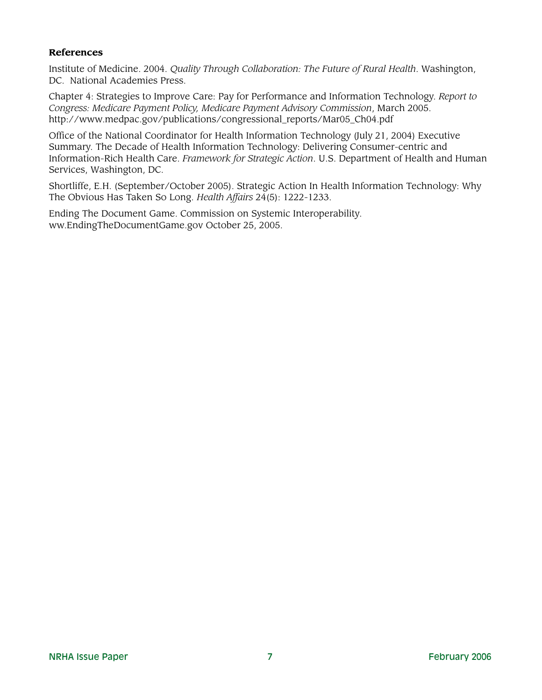#### **References**

Institute of Medicine. 2004. *Quality Through Collaboration: The Future of Rural Health*. Washington, DC. National Academies Press.

Chapter 4: Strategies to Improve Care: Pay for Performance and Information Technology. *Report to Congress: Medicare Payment Policy, Medicare Payment Advisory Commission*, March 2005. http://www.medpac.gov/publications/congressional\_reports/Mar05\_Ch04.pdf

Office of the National Coordinator for Health Information Technology (July 21, 2004) Executive Summary. The Decade of Health Information Technology: Delivering Consumer-centric and Information-Rich Health Care. *Framework for Strategic Action*. U.S. Department of Health and Human Services, Washington, DC.

Shortliffe, E.H. (September/October 2005). Strategic Action In Health Information Technology: Why The Obvious Has Taken So Long. *Health Affairs* 24(5): 1222-1233.

Ending The Document Game. Commission on Systemic Interoperability. ww.EndingTheDocumentGame.gov October 25, 2005.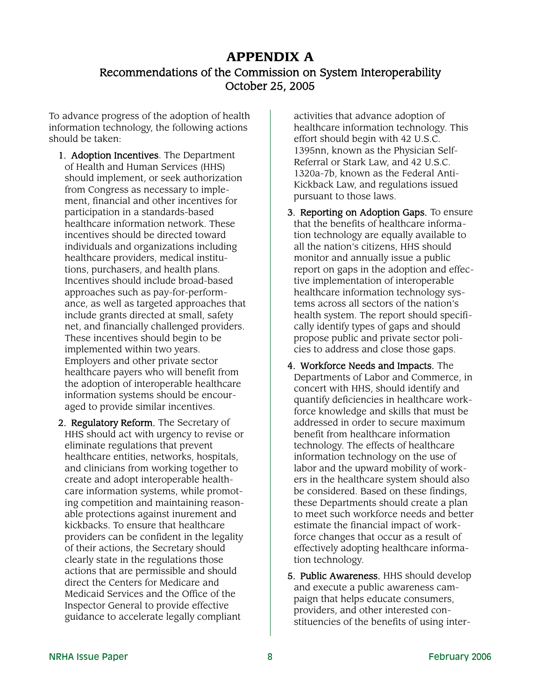### **APPENDIX A** Recommendations of the Commission on System Interoperability October 25, 2005

To advance progress of the adoption of health information technology, the following actions should be taken:

- 1. Adoption Incentives. The Department of Health and Human Services (HHS) should implement, or seek authorization from Congress as necessary to implement, financial and other incentives for participation in a standards-based healthcare information network. These incentives should be directed toward individuals and organizations including healthcare providers, medical institutions, purchasers, and health plans. Incentives should include broad-based approaches such as pay-for-performance, as well as targeted approaches that include grants directed at small, safety net, and financially challenged providers. These incentives should begin to be implemented within two years. Employers and other private sector healthcare payers who will benefit from the adoption of interoperable healthcare information systems should be encouraged to provide similar incentives.
- 2. Regulatory Reform. The Secretary of HHS should act with urgency to revise or eliminate regulations that prevent healthcare entities, networks, hospitals, and clinicians from working together to create and adopt interoperable healthcare information systems, while promoting competition and maintaining reasonable protections against inurement and kickbacks. To ensure that healthcare providers can be confident in the legality of their actions, the Secretary should clearly state in the regulations those actions that are permissible and should direct the Centers for Medicare and Medicaid Services and the Office of the Inspector General to provide effective guidance to accelerate legally compliant

activities that advance adoption of healthcare information technology. This effort should begin with 42 U.S.C. 1395nn, known as the Physician Self-Referral or Stark Law, and 42 U.S.C. 1320a-7b, known as the Federal Anti-Kickback Law, and regulations issued pursuant to those laws.

- 3. Reporting on Adoption Gaps. To ensure that the benefits of healthcare information technology are equally available to all the nation's citizens, HHS should monitor and annually issue a public report on gaps in the adoption and effective implementation of interoperable healthcare information technology systems across all sectors of the nation's health system. The report should specifically identify types of gaps and should propose public and private sector policies to address and close those gaps.
- 4. Workforce Needs and Impacts. The Departments of Labor and Commerce, in concert with HHS, should identify and quantify deficiencies in healthcare workforce knowledge and skills that must be addressed in order to secure maximum benefit from healthcare information technology. The effects of healthcare information technology on the use of labor and the upward mobility of workers in the healthcare system should also be considered. Based on these findings, these Departments should create a plan to meet such workforce needs and better estimate the financial impact of workforce changes that occur as a result of effectively adopting healthcare information technology.
- 5. Public Awareness. HHS should develop and execute a public awareness campaign that helps educate consumers, providers, and other interested constituencies of the benefits of using inter-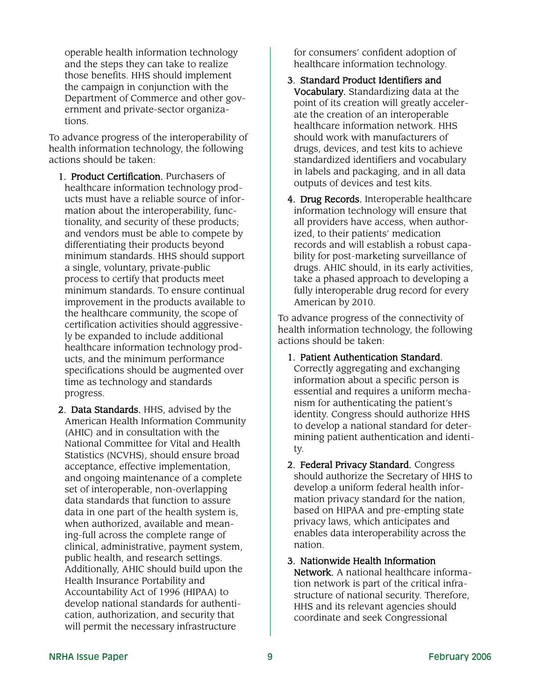operable health information technology and the steps they can take to realize those benefits. HHS should implement the campaign in conjunction with the Department of Commerce and other government and private-sector organizations.

To advance progress of the interoperability of health information technology, the following actions should be taken:

- 1. Product Certification. Purchasers of healthcare information technology products must have a reliable source of information about the interoperability, functionality, and security of these products; and vendors must be able to compete by differentiating their products beyond minimum standards. HHS should support a single, voluntary, private-public process to certify that products meet minimum standards. To ensure continual improvement in the products available to the healthcare community, the scope of certification activities should aggressively be expanded to include additional healthcare information technology products, and the minimum performance specifications should be augmented over time as technology and standards progress.
- 2. Data Standards. HHS, advised by the American Health Information Community (AHIC) and in consultation with the National Committee for Vital and Health Statistics (NCVHS), should ensure broad acceptance, effective implementation, and ongoing maintenance of a complete set of interoperable, non-overlapping data standards that function to assure data in one part of the health system is, when authorized, available and meaning-full across the complete range of clinical, administrative, payment system, public health, and research settings. Additionally, AHIC should build upon the Health Insurance Portability and Accountability Act of 1996 (HIPAA) to develop national standards for authentication, authorization, and security that will permit the necessary infrastructure

for consumers' confident adoption of healthcare information technology.

- 3. Standard Product Identifiers and Vocabulary. Standardizing data at the point of its creation will greatly accelerate the creation of an interoperable healthcare information network. HHS should work with manufacturers of drugs, devices, and test kits to achieve standardized identifiers and vocabulary in labels and packaging, and in all data outputs of devices and test kits.
- 4. Drug Records. Interoperable healthcare information technology will ensure that all providers have access, when authorized, to their patients' medication records and will establish a robust capability for post-marketing surveillance of drugs. AHIC should, in its early activities, take a phased approach to developing a fully interoperable drug record for every American by 2010.

To advance progress of the connectivity of health information technology, the following actions should be taken:

- 1. Patient Authentication Standard. Correctly aggregating and exchanging information about a specific person is essential and requires a uniform mechanism for authenticating the patient's identity. Congress should authorize HHS to develop a national standard for determining patient authentication and identity.
- 2. Federal Privacy Standard. Congress should authorize the Secretary of HHS to develop a uniform federal health information privacy standard for the nation, based on HIPAA and pre-empting state privacy laws, which anticipates and enables data interoperability across the nation.
- 3. Nationwide Health Information Network. A national healthcare information network is part of the critical infrastructure of national security. Therefore, HHS and its relevant agencies should coordinate and seek Congressional